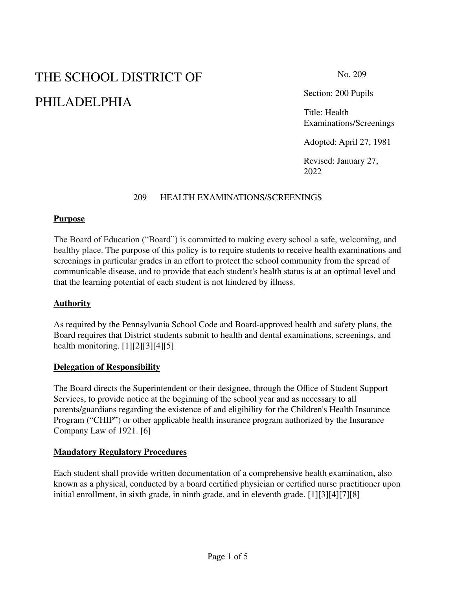# THE SCHOOL DISTRICT OF PHILADELPHIA

Section: 200 Pupils

Title: Health Examinations/Screenings

Adopted: April 27, 1981

Revised: January 27, 2022

#### 209 HEALTH EXAMINATIONS/SCREENINGS

#### **Purpose**

The Board of Education ("Board") is committed to making every school a safe, welcoming, and healthy place. The purpose of this policy is to require students to receive health examinations and screenings in particular grades in an effort to protect the school community from the spread of communicable disease, and to provide that each student's health status is at an optimal level and that the learning potential of each student is not hindered by illness.

## **Authority**

As required by the Pennsylvania School Code and Board-approved health and safety plans, the Board requires that District students submit to health and dental examinations, screenings, and health monitoring. [1][2][3][4][5]

#### **Delegation of Responsibility**

The Board directs the Superintendent or their designee, through the Office of Student Support Services, to provide notice at the beginning of the school year and as necessary to all parents/guardians regarding the existence of and eligibility for the Children's Health Insurance Program ("CHIP") or other applicable health insurance program authorized by the Insurance Company Law of 1921. [6]

#### **Mandatory Regulatory Procedures**

Each student shall provide written documentation of a comprehensive health examination, also known as a physical, conducted by a board certified physician or certified nurse practitioner upon initial enrollment, in sixth grade, in ninth grade, and in eleventh grade. [1][3][4][7][8]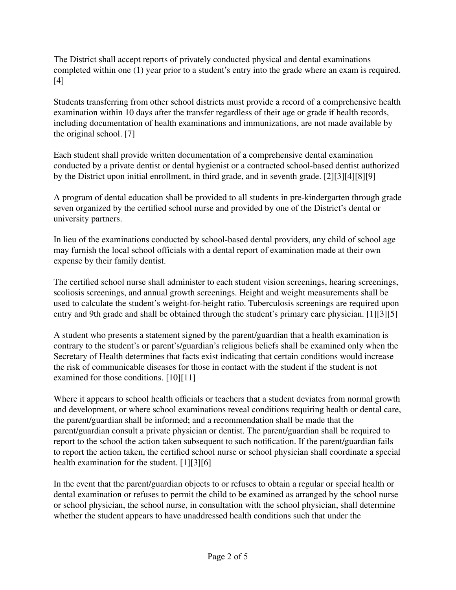The District shall accept reports of privately conducted physical and dental examinations completed within one (1) year prior to a student's entry into the grade where an exam is required. [4]

Students transferring from other school districts must provide a record of a comprehensive health examination within 10 days after the transfer regardless of their age or grade if health records, including documentation of health examinations and immunizations, are not made available by the original school. [7]

Each student shall provide written documentation of a comprehensive dental examination conducted by a private dentist or dental hygienist or a contracted school-based dentist authorized by the District upon initial enrollment, in third grade, and in seventh grade. [2][3][4][8][9]

A program of dental education shall be provided to all students in pre-kindergarten through grade seven organized by the certified school nurse and provided by one of the District's dental or university partners.

In lieu of the examinations conducted by school-based dental providers, any child of school age may furnish the local school officials with a dental report of examination made at their own expense by their family dentist.

The certified school nurse shall administer to each student vision screenings, hearing screenings, scoliosis screenings, and annual growth screenings. Height and weight measurements shall be used to calculate the student's weight-for-height ratio. Tuberculosis screenings are required upon entry and 9th grade and shall be obtained through the student's primary care physician. [1][3][5]

A student who presents a statement signed by the parent/guardian that a health examination is contrary to the student's or parent's/guardian's religious beliefs shall be examined only when the Secretary of Health determines that facts exist indicating that certain conditions would increase the risk of communicable diseases for those in contact with the student if the student is not examined for those conditions. [10][11]

Where it appears to school health officials or teachers that a student deviates from normal growth and development, or where school examinations reveal conditions requiring health or dental care, the parent/guardian shall be informed; and a recommendation shall be made that the parent/guardian consult a private physician or dentist. The parent/guardian shall be required to report to the school the action taken subsequent to such notification. If the parent/guardian fails to report the action taken, the certified school nurse or school physician shall coordinate a special health examination for the student. [1][3][6]

In the event that the parent/guardian objects to or refuses to obtain a regular or special health or dental examination or refuses to permit the child to be examined as arranged by the school nurse or school physician, the school nurse, in consultation with the school physician, shall determine whether the student appears to have unaddressed health conditions such that under the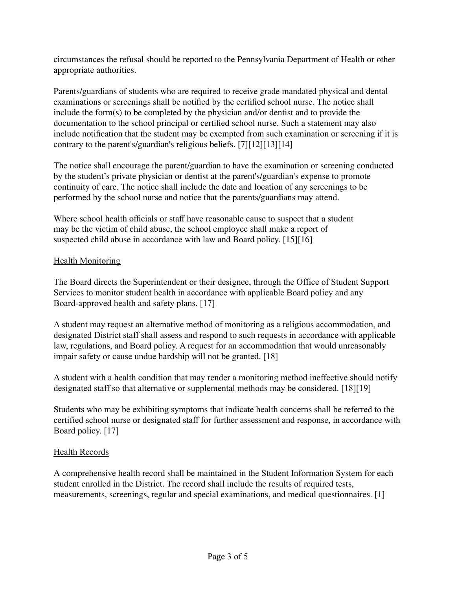circumstances the refusal should be reported to the Pennsylvania Department of Health or other appropriate authorities.

Parents/guardians of students who are required to receive grade mandated physical and dental examinations or screenings shall be notified by the certified school nurse. The notice shall include the form(s) to be completed by the physician and/or dentist and to provide the documentation to the school principal or certified school nurse. Such a statement may also include notification that the student may be exempted from such examination or screening if it is contrary to the parent's/guardian's religious beliefs. [7][12][13][14]

The notice shall encourage the parent/guardian to have the examination or screening conducted by the student's private physician or dentist at the parent's/guardian's expense to promote continuity of care. The notice shall include the date and location of any screenings to be performed by the school nurse and notice that the parents/guardians may attend.

Where school health officials or staff have reasonable cause to suspect that a student may be the victim of child abuse, the school employee shall make a report of suspected child abuse in accordance with law and Board policy. [15][16]

## **Health Monitoring**

The Board directs the Superintendent or their designee, through the Office of Student Support Services to monitor student health in accordance with applicable Board policy and any Board-approved health and safety plans. [17]

A student may request an alternative method of monitoring as a religious accommodation, and designated District staff shall assess and respond to such requests in accordance with applicable law, regulations, and Board policy. A request for an accommodation that would unreasonably impair safety or cause undue hardship will not be granted. [18]

A student with a health condition that may render a monitoring method ineffective should notify designated staff so that alternative or supplemental methods may be considered. [18][19]

Students who may be exhibiting symptoms that indicate health concerns shall be referred to the certified school nurse or designated staff for further assessment and response, in accordance with Board policy. [17]

## Health Records

A comprehensive health record shall be maintained in the Student Information System for each student enrolled in the District. The record shall include the results of required tests, measurements, screenings, regular and special examinations, and medical questionnaires. [1]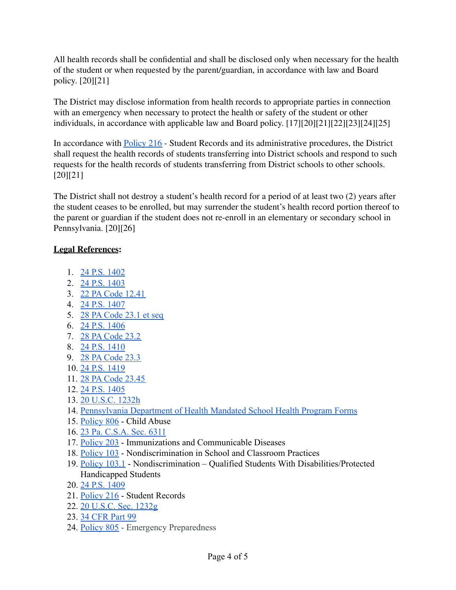All health records shall be confidential and shall be disclosed only when necessary for the health of the student or when requested by the parent/guardian, in accordance with law and Board policy. [20][21]

The District may disclose information from health records to appropriate parties in connection with an emergency when necessary to protect the health or safety of the student or other individuals, in accordance with applicable law and Board policy. [17][20][21][22][23][24][25]

In accordance with [Policy](https://www.philasd.org/schoolboard/policies/) 216 - Student Records and its administrative procedures, the District shall request the health records of students transferring into District schools and respond to such requests for the health records of students transferring from District schools to other schools. [20][21]

The District shall not destroy a student's health record for a period of at least two (2) years after the student ceases to be enrolled, but may surrender the student's health record portion thereof to the parent or guardian if the student does not re-enroll in an elementary or secondary school in Pennsylvania. [20][26]

## **Legal References:**

- 1. [24 P.S. 1402](https://www.legis.state.pa.us/cfdocs/legis/LI/uconsCheck.cfm?txtType=HTM&yr=1949&sessInd=0&smthLwInd=0&act=14&chpt=14&sctn=2&subsctn=0)
- 2. [24 P.S. 1403](https://www.legis.state.pa.us/cfdocs/legis/LI/uconsCheck.cfm?txtType=HTM&yr=1949&sessInd=0&smthLwInd=0&act=14&chpt=14&sctn=3&subsctn=0)
- 3. [22 PA Code 12.41](http://www.pacodeandbulletin.gov/Display/pacode?file=/secure/pacode/data/022/chapter12/s12.41.html&d=reduce)
- 4. [24 P.S. 1407](https://www.legis.state.pa.us/cfdocs/legis/LI/uconsCheck.cfm?txtType=HTM&yr=1949&sessInd=0&smthLwInd=0&act=14&chpt=14&sctn=7&subsctn=0)
- 5. [28 PA Code 23.1 et seq](http://www.pacodeandbulletin.gov/Display/pacode?file=/secure/pacode/data/028/chapter23/chap23toc.html&d=reduce#23.1.)
- 6. [24 P.S. 1406](https://www.legis.state.pa.us/cfdocs/legis/LI/uconsCheck.cfm?txtType=HTM&yr=1949&sessInd=0&smthLwInd=0&act=14&chpt=14&sctn=6&subsctn=0)
- 7. [28 PA Code 23.2](http://www.pacodeandbulletin.gov/Display/pacode?file=/secure/pacode/data/028/chapter23/chap23toc.html&d=reduce#23.2.)
- 8. [24 P.S. 1410](https://www.legis.state.pa.us/cfdocs/legis/LI/uconsCheck.cfm?txtType=HTM&yr=1949&sessInd=0&smthLwInd=0&act=14&chpt=14&sctn=10&subsctn=0)
- 9. [28 PA Code 23.3](http://www.pacodeandbulletin.gov/Display/pacode?file=/secure/pacode/data/028/chapter23/chap23toc.html&d=reduce#23.3.)
- 10. [24 P.S. 1419](https://www.legis.state.pa.us/cfdocs/legis/LI/uconsCheck.cfm?txtType=HTM&yr=1949&sessInd=0&smthLwInd=0&act=14&chpt=14&sctn=19&subsctn=0)
- 11. [28 PA Code 23.45](http://www.pacodeandbulletin.gov/Display/pacode?file=/secure/pacode/data/028/chapter23/chap23toc.html&d=reduce#23.45.)
- 12. [24 P.S. 1405](https://www.legis.state.pa.us/cfdocs/legis/LI/uconsCheck.cfm?txtType=HTM&yr=1949&sessInd=0&smthLwInd=0&act=14&chpt=14&sctn=5&subsctn=0)
- 13. [20 U.S.C. 1232h](https://www.law.cornell.edu/uscode/text/20/1232h)
- 14. [Pennsylvania Department of Health Mandated School Health Program Forms](https://www.health.pa.gov/topics/school/Pages/Mandated-School-Health-Programs.aspx)
- 15. [Policy 806](https://www.philasd.org/schoolboard/policies/) Child Abuse
- 16. [23 Pa. C.S.A. Sec. 6311](https://codes.findlaw.com/pa/title-23-pacsa-domestic-relations/pa-csa-sect-23-6311.html)
- 17. [Policy 203](https://www.philasd.org/schoolboard/policies/) Immunizations and Communicable Diseases
- 18. [Policy 103](https://www.philasd.org/schoolboard/policies/) Nondiscrimination in School and Classroom Practices
- 19. [Policy 103.1](https://www.philasd.org/schoolboard/policies/) Nondiscrimination Qualified Students With Disabilities/Protected Handicapped Students
- 20. [24 P.S. 1409](https://www.legis.state.pa.us/cfdocs/legis/LI/uconsCheck.cfm?txtType=HTM&yr=1949&sessInd=0&smthLwInd=0&act=14&chpt=14&sctn=9&subsctn=0)
- 21. [Policy 216](https://www.philasd.org/schoolboard/policies/) Student Records
- 22. [20 U.S.C. Sec. 1232g](https://www.law.cornell.edu/uscode/text/20/1232g)
- 23. [34 CFR Part 99](https://www.law.cornell.edu/cfr/text/34/part-99)
- 24. [Policy 805](https://www.philasd.org/schoolboard/policies/) Emergency Preparedness